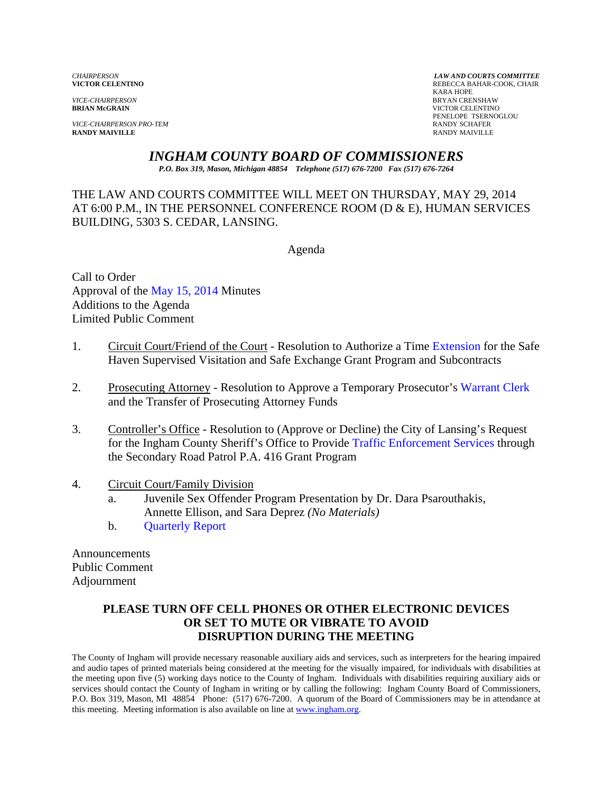*VICE-CHAIRPERSON* BRYAN CRENSHAW

*VICE-CHAIRPERSON PRO-TEM* **RANDY SCHAFER RANDY SCHAFER RANDY SCHAFER RANDY SCHAFER RANDY MAIVILLE RANDY MAIVILLE** RANDY MAIVILLE

*CHAIRPERSON LAW AND COURTS COMMITTEE* REBECCA BAHAR-COOK, CHAIR<br>KARA HOPE KARA HOPE **VICTOR CELENTINO** PENELOPE TSERNOGLOU

## *INGHAM COUNTY BOARD OF COMMISSIONERS*

*P.O. Box 319, Mason, Michigan 48854 Telephone (517) 676-7200 Fax (517) 676-7264*

THE LAW AND COURTS COMMITTEE WILL MEET ON THURSDAY, MAY 29, 2014 AT 6:00 P.M., IN THE PERSONNEL CONFERENCE ROOM (D & E), HUMAN SERVICES BUILDING, 5303 S. CEDAR, LANSING.

Agenda

Call to Order Approval o[f the May 15, 2014 Minutes](#page-1-0)  Additions to the Agenda Limited Public Comment

- 1. Circuit Court/Friend of the Court Resolution to Authorize [a Time Extension for the Safe](#page-6-0)  Haven Supervised Visitation and Safe Exchange Grant Program and Subcontracts
- 2. Prosecuting Attorney Resolution to Approve a Temporary Prosecuto[r's Warrant Clerk](#page-14-0) and the Transfer of Prosecuting Attorney Funds
- 3. Controller's Office Resolution to (Approve or Decline) the City of Lansing's Request for the Ingham County Sheriff's Office to Provi[de Traffic Enforcement Services throug](#page-16-0)h the Secondary Road Patrol P.A. 416 Grant Program

#### 4. Circuit Court/Family Division

- a. Juvenile Sex Offender Program Presentation by Dr. Dara Psarouthakis, [Annette Ellison, and Sara D](#page-20-0)eprez *(No Materials)*
- b. Quarterly Report

Announcements Public Comment Adjournment

#### **PLEASE TURN OFF CELL PHONES OR OTHER ELECTRONIC DEVICES OR SET TO MUTE OR VIBRATE TO AVOID DISRUPTION DURING THE MEETING**

The County of Ingham will provide necessary reasonable auxiliary aids and services, such as interpreters for the hearing impaired and audio tapes of printed materials being considered at the meeting for the visually impaired, for individuals with disabilities at the meeting upon five (5) working days notice to the County of Ingham. Individuals with disabilities requiring auxiliary aids or services should contact the County of Ingham in writing or by calling the following: Ingham County Board of Commissioners, P.O. Box 319, Mason, MI 48854 Phone: (517) 676-7200. A quorum of the Board of Commissioners may be in attendance at this meeting. Meeting information is also available on line at www.ingham.org.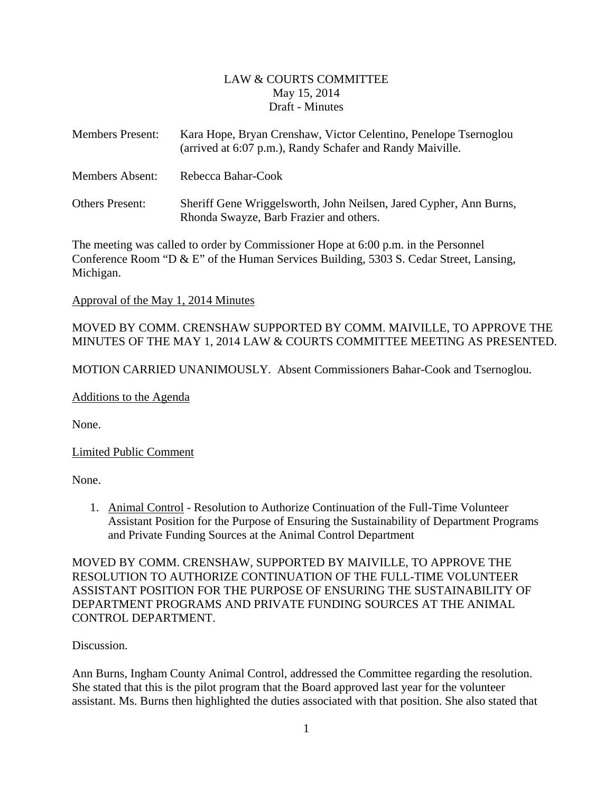## LAW & COURTS COMMITTEE May 15, 2014 Draft - Minutes

<span id="page-1-0"></span>

| <b>Members Present:</b> | Kara Hope, Bryan Crenshaw, Victor Celentino, Penelope Tsernoglou<br>(arrived at 6:07 p.m.), Randy Schafer and Randy Maiville. |
|-------------------------|-------------------------------------------------------------------------------------------------------------------------------|
| <b>Members Absent:</b>  | Rebecca Bahar-Cook                                                                                                            |
| <b>Others Present:</b>  | Sheriff Gene Wriggelsworth, John Neilsen, Jared Cypher, Ann Burns,<br>Rhonda Swayze, Barb Frazier and others.                 |

The meeting was called to order by Commissioner Hope at 6:00 p.m. in the Personnel Conference Room "D & E" of the Human Services Building, 5303 S. Cedar Street, Lansing, Michigan.

Approval of the May 1, 2014 Minutes

## MOVED BY COMM. CRENSHAW SUPPORTED BY COMM. MAIVILLE, TO APPROVE THE MINUTES OF THE MAY 1, 2014 LAW & COURTS COMMITTEE MEETING AS PRESENTED.

MOTION CARRIED UNANIMOUSLY. Absent Commissioners Bahar-Cook and Tsernoglou.

Additions to the Agenda

None.

Limited Public Comment

None.

1. Animal Control - Resolution to Authorize Continuation of the Full-Time Volunteer Assistant Position for the Purpose of Ensuring the Sustainability of Department Programs and Private Funding Sources at the Animal Control Department

MOVED BY COMM. CRENSHAW, SUPPORTED BY MAIVILLE, TO APPROVE THE RESOLUTION TO AUTHORIZE CONTINUATION OF THE FULL-TIME VOLUNTEER ASSISTANT POSITION FOR THE PURPOSE OF ENSURING THE SUSTAINABILITY OF DEPARTMENT PROGRAMS AND PRIVATE FUNDING SOURCES AT THE ANIMAL CONTROL DEPARTMENT.

Discussion.

Ann Burns, Ingham County Animal Control, addressed the Committee regarding the resolution. She stated that this is the pilot program that the Board approved last year for the volunteer assistant. Ms. Burns then highlighted the duties associated with that position. She also stated that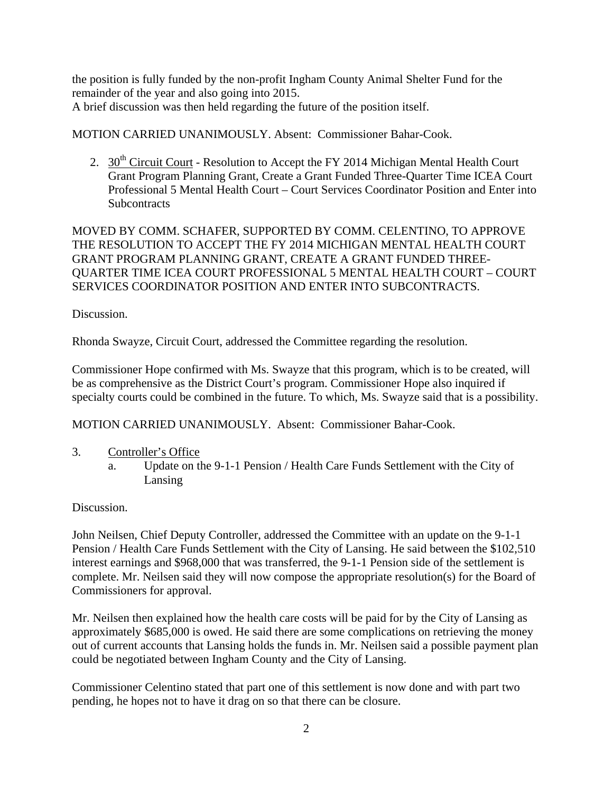the position is fully funded by the non-profit Ingham County Animal Shelter Fund for the remainder of the year and also going into 2015. A brief discussion was then held regarding the future of the position itself.

MOTION CARRIED UNANIMOUSLY. Absent: Commissioner Bahar-Cook.

2.  $30<sup>th</sup> Circuit Court$  - Resolution to Accept the FY 2014 Michigan Mental Health Court Grant Program Planning Grant, Create a Grant Funded Three-Quarter Time ICEA Court Professional 5 Mental Health Court – Court Services Coordinator Position and Enter into **Subcontracts** 

MOVED BY COMM. SCHAFER, SUPPORTED BY COMM. CELENTINO, TO APPROVE THE RESOLUTION TO ACCEPT THE FY 2014 MICHIGAN MENTAL HEALTH COURT GRANT PROGRAM PLANNING GRANT, CREATE A GRANT FUNDED THREE-QUARTER TIME ICEA COURT PROFESSIONAL 5 MENTAL HEALTH COURT – COURT SERVICES COORDINATOR POSITION AND ENTER INTO SUBCONTRACTS.

Discussion.

Rhonda Swayze, Circuit Court, addressed the Committee regarding the resolution.

Commissioner Hope confirmed with Ms. Swayze that this program, which is to be created, will be as comprehensive as the District Court's program. Commissioner Hope also inquired if specialty courts could be combined in the future. To which, Ms. Swayze said that is a possibility.

MOTION CARRIED UNANIMOUSLY. Absent: Commissioner Bahar-Cook.

- 3. Controller's Office
	- a. Update on the 9-1-1 Pension / Health Care Funds Settlement with the City of Lansing

Discussion.

John Neilsen, Chief Deputy Controller, addressed the Committee with an update on the 9-1-1 Pension / Health Care Funds Settlement with the City of Lansing. He said between the \$102,510 interest earnings and \$968,000 that was transferred, the 9-1-1 Pension side of the settlement is complete. Mr. Neilsen said they will now compose the appropriate resolution(s) for the Board of Commissioners for approval.

Mr. Neilsen then explained how the health care costs will be paid for by the City of Lansing as approximately \$685,000 is owed. He said there are some complications on retrieving the money out of current accounts that Lansing holds the funds in. Mr. Neilsen said a possible payment plan could be negotiated between Ingham County and the City of Lansing.

Commissioner Celentino stated that part one of this settlement is now done and with part two pending, he hopes not to have it drag on so that there can be closure.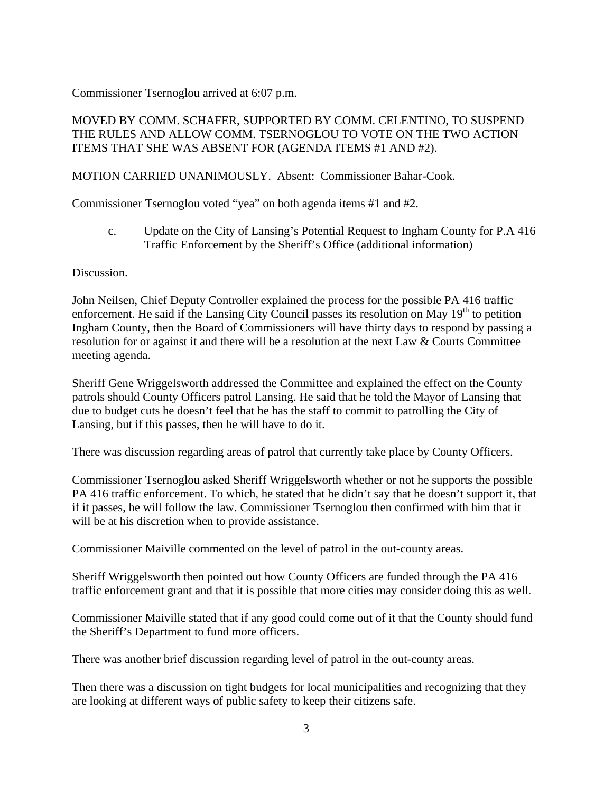Commissioner Tsernoglou arrived at 6:07 p.m.

## MOVED BY COMM. SCHAFER, SUPPORTED BY COMM. CELENTINO, TO SUSPEND THE RULES AND ALLOW COMM. TSERNOGLOU TO VOTE ON THE TWO ACTION ITEMS THAT SHE WAS ABSENT FOR (AGENDA ITEMS #1 AND #2).

## MOTION CARRIED UNANIMOUSLY. Absent: Commissioner Bahar-Cook.

Commissioner Tsernoglou voted "yea" on both agenda items #1 and #2.

c. Update on the City of Lansing's Potential Request to Ingham County for P.A 416 Traffic Enforcement by the Sheriff's Office (additional information)

Discussion.

John Neilsen, Chief Deputy Controller explained the process for the possible PA 416 traffic enforcement. He said if the Lansing City Council passes its resolution on May  $19<sup>th</sup>$  to petition Ingham County, then the Board of Commissioners will have thirty days to respond by passing a resolution for or against it and there will be a resolution at the next Law & Courts Committee meeting agenda.

Sheriff Gene Wriggelsworth addressed the Committee and explained the effect on the County patrols should County Officers patrol Lansing. He said that he told the Mayor of Lansing that due to budget cuts he doesn't feel that he has the staff to commit to patrolling the City of Lansing, but if this passes, then he will have to do it.

There was discussion regarding areas of patrol that currently take place by County Officers.

Commissioner Tsernoglou asked Sheriff Wriggelsworth whether or not he supports the possible PA 416 traffic enforcement. To which, he stated that he didn't say that he doesn't support it, that if it passes, he will follow the law. Commissioner Tsernoglou then confirmed with him that it will be at his discretion when to provide assistance.

Commissioner Maiville commented on the level of patrol in the out-county areas.

Sheriff Wriggelsworth then pointed out how County Officers are funded through the PA 416 traffic enforcement grant and that it is possible that more cities may consider doing this as well.

Commissioner Maiville stated that if any good could come out of it that the County should fund the Sheriff's Department to fund more officers.

There was another brief discussion regarding level of patrol in the out-county areas.

Then there was a discussion on tight budgets for local municipalities and recognizing that they are looking at different ways of public safety to keep their citizens safe.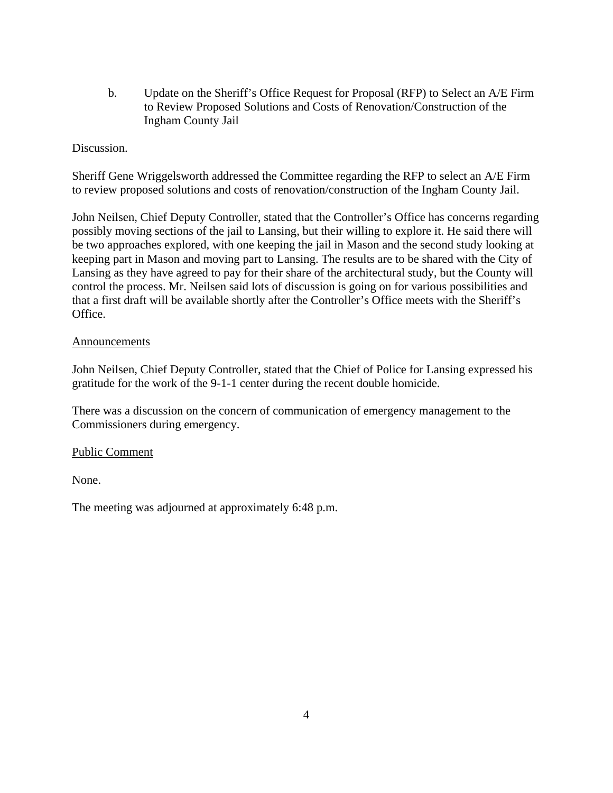b. Update on the Sheriff's Office Request for Proposal (RFP) to Select an A/E Firm to Review Proposed Solutions and Costs of Renovation/Construction of the Ingham County Jail

#### Discussion.

Sheriff Gene Wriggelsworth addressed the Committee regarding the RFP to select an A/E Firm to review proposed solutions and costs of renovation/construction of the Ingham County Jail.

John Neilsen, Chief Deputy Controller, stated that the Controller's Office has concerns regarding possibly moving sections of the jail to Lansing, but their willing to explore it. He said there will be two approaches explored, with one keeping the jail in Mason and the second study looking at keeping part in Mason and moving part to Lansing. The results are to be shared with the City of Lansing as they have agreed to pay for their share of the architectural study, but the County will control the process. Mr. Neilsen said lots of discussion is going on for various possibilities and that a first draft will be available shortly after the Controller's Office meets with the Sheriff's Office.

#### Announcements

John Neilsen, Chief Deputy Controller, stated that the Chief of Police for Lansing expressed his gratitude for the work of the 9-1-1 center during the recent double homicide.

There was a discussion on the concern of communication of emergency management to the Commissioners during emergency.

#### Public Comment

None.

The meeting was adjourned at approximately 6:48 p.m.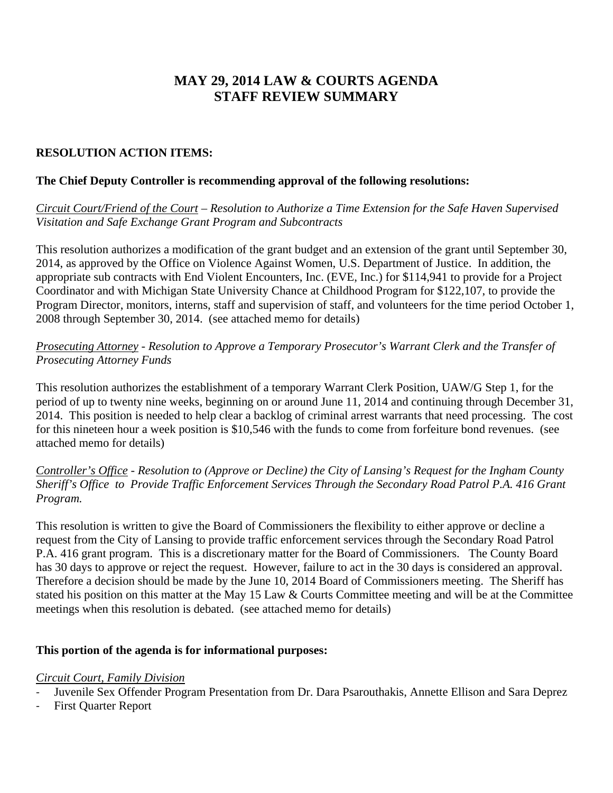# **MAY 29, 2014 LAW & COURTS AGENDA STAFF REVIEW SUMMARY**

## **RESOLUTION ACTION ITEMS:**

#### **The Chief Deputy Controller is recommending approval of the following resolutions:**

*Circuit Court/Friend of the Court – Resolution to Authorize a Time Extension for the Safe Haven Supervised Visitation and Safe Exchange Grant Program and Subcontracts* 

This resolution authorizes a modification of the grant budget and an extension of the grant until September 30, 2014, as approved by the Office on Violence Against Women, U.S. Department of Justice. In addition, the appropriate sub contracts with End Violent Encounters, Inc. (EVE, Inc.) for \$114,941 to provide for a Project Coordinator and with Michigan State University Chance at Childhood Program for \$122,107, to provide the Program Director, monitors, interns, staff and supervision of staff, and volunteers for the time period October 1, 2008 through September 30, 2014. (see attached memo for details)

*Prosecuting Attorney - Resolution to Approve a Temporary Prosecutor's Warrant Clerk and the Transfer of Prosecuting Attorney Funds* 

This resolution authorizes the establishment of a temporary Warrant Clerk Position, UAW/G Step 1, for the period of up to twenty nine weeks, beginning on or around June 11, 2014 and continuing through December 31, 2014. This position is needed to help clear a backlog of criminal arrest warrants that need processing. The cost for this nineteen hour a week position is \$10,546 with the funds to come from forfeiture bond revenues. (see attached memo for details)

*Controller's Office - Resolution to (Approve or Decline) the City of Lansing's Request for the Ingham County Sheriff's Office to Provide Traffic Enforcement Services Through the Secondary Road Patrol P.A. 416 Grant Program.* 

This resolution is written to give the Board of Commissioners the flexibility to either approve or decline a request from the City of Lansing to provide traffic enforcement services through the Secondary Road Patrol P.A. 416 grant program. This is a discretionary matter for the Board of Commissioners. The County Board has 30 days to approve or reject the request. However, failure to act in the 30 days is considered an approval. Therefore a decision should be made by the June 10, 2014 Board of Commissioners meeting. The Sheriff has stated his position on this matter at the May 15 Law & Courts Committee meeting and will be at the Committee meetings when this resolution is debated. (see attached memo for details)

## **This portion of the agenda is for informational purposes:**

#### *Circuit Court, Family Division*

‐ Juvenile Sex Offender Program Presentation from Dr. Dara Psarouthakis, Annette Ellison and Sara Deprez

‐ First Quarter Report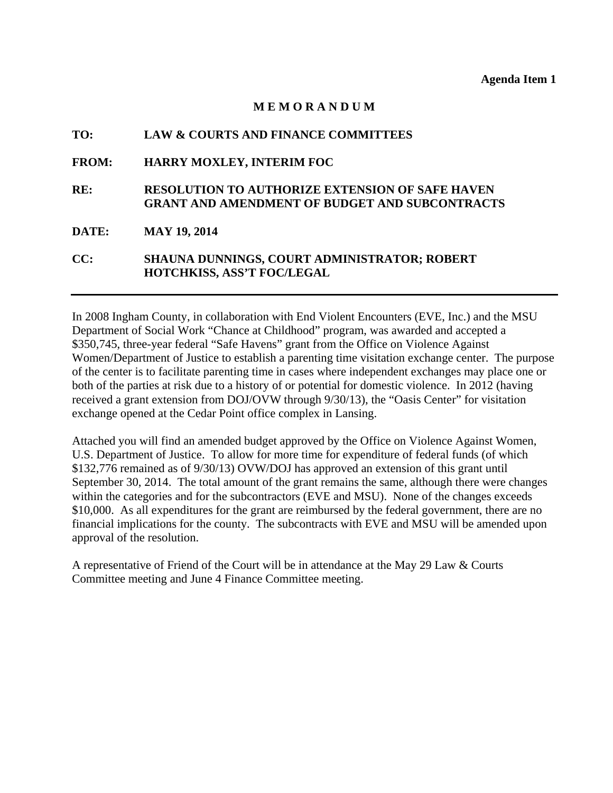#### **M E M O R A N D U M**

<span id="page-6-0"></span>

| TO:          | <b>LAW &amp; COURTS AND FINANCE COMMITTEES</b>                                                                  |
|--------------|-----------------------------------------------------------------------------------------------------------------|
| <b>FROM:</b> | <b>HARRY MOXLEY, INTERIM FOC</b>                                                                                |
| RE:          | <b>RESOLUTION TO AUTHORIZE EXTENSION OF SAFE HAVEN</b><br><b>GRANT AND AMENDMENT OF BUDGET AND SUBCONTRACTS</b> |
| <b>DATE:</b> | <b>MAY 19, 2014</b>                                                                                             |
| CC:          | SHAUNA DUNNINGS, COURT ADMINISTRATOR; ROBERT<br><b>HOTCHKISS, ASS'T FOC/LEGAL</b>                               |

In 2008 Ingham County, in collaboration with End Violent Encounters (EVE, Inc.) and the MSU Department of Social Work "Chance at Childhood" program, was awarded and accepted a \$350,745, three-year federal "Safe Havens" grant from the Office on Violence Against Women/Department of Justice to establish a parenting time visitation exchange center. The purpose of the center is to facilitate parenting time in cases where independent exchanges may place one or both of the parties at risk due to a history of or potential for domestic violence. In 2012 (having received a grant extension from DOJ/OVW through 9/30/13), the "Oasis Center" for visitation exchange opened at the Cedar Point office complex in Lansing.

Attached you will find an amended budget approved by the Office on Violence Against Women, U.S. Department of Justice. To allow for more time for expenditure of federal funds (of which \$132,776 remained as of 9/30/13) OVW/DOJ has approved an extension of this grant until September 30, 2014. The total amount of the grant remains the same, although there were changes within the categories and for the subcontractors (EVE and MSU). None of the changes exceeds \$10,000. As all expenditures for the grant are reimbursed by the federal government, there are no financial implications for the county. The subcontracts with EVE and MSU will be amended upon approval of the resolution.

A representative of Friend of the Court will be in attendance at the May 29 Law & Courts Committee meeting and June 4 Finance Committee meeting.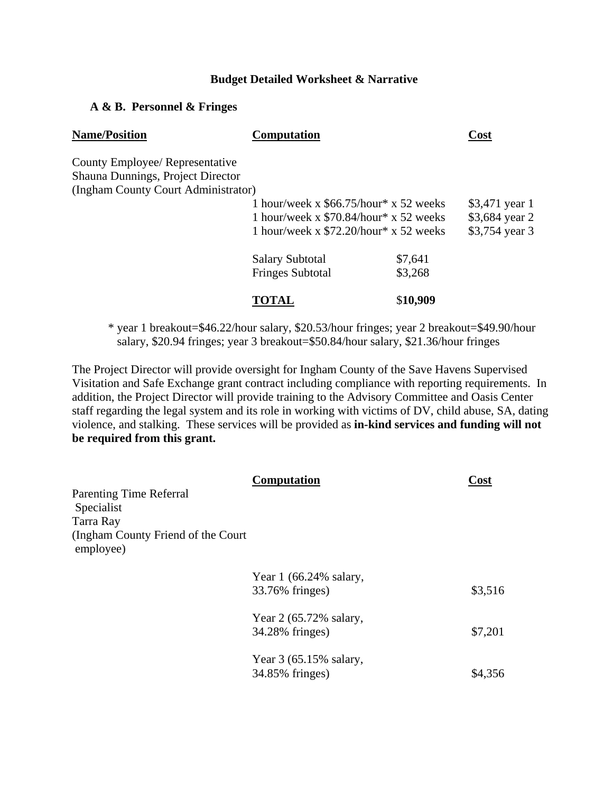#### **Budget Detailed Worksheet & Narrative**

#### **A & B. Personnel & Fringes**

| <b>Name/Position</b>                                                 | <b>Computation</b>                                                                                                             |                    | <b>Cost</b>                                        |
|----------------------------------------------------------------------|--------------------------------------------------------------------------------------------------------------------------------|--------------------|----------------------------------------------------|
| County Employee/ Representative<br>Shauna Dunnings, Project Director |                                                                                                                                |                    |                                                    |
| (Ingham County Court Administrator)                                  |                                                                                                                                |                    |                                                    |
|                                                                      | 1 hour/week x $$66.75/hour* x 52$ weeks<br>1 hour/week x $$70.84/hour* x 52$ weeks<br>1 hour/week x $$72.20/hour * x 52$ weeks |                    | \$3,471 year 1<br>\$3,684 year 2<br>\$3,754 year 3 |
|                                                                      | <b>Salary Subtotal</b><br><b>Fringes Subtotal</b>                                                                              | \$7,641<br>\$3,268 |                                                    |
|                                                                      | TOTAL                                                                                                                          | \$10,909           |                                                    |

 \* year 1 breakout=\$46.22/hour salary, \$20.53/hour fringes; year 2 breakout=\$49.90/hour salary, \$20.94 fringes; year 3 breakout=\$50.84/hour salary, \$21.36/hour fringes

The Project Director will provide oversight for Ingham County of the Save Havens Supervised Visitation and Safe Exchange grant contract including compliance with reporting requirements. In addition, the Project Director will provide training to the Advisory Committee and Oasis Center staff regarding the legal system and its role in working with victims of DV, child abuse, SA, dating violence, and stalking. These services will be provided as **in-kind services and funding will not be required from this grant.** 

|                                                  | <b>Computation</b>       | Cost    |
|--------------------------------------------------|--------------------------|---------|
| <b>Parenting Time Referral</b>                   |                          |         |
| Specialist                                       |                          |         |
| Tarra Ray                                        |                          |         |
| (Ingham County Friend of the Court)<br>employee) |                          |         |
|                                                  | Year $1(66.24\%$ salary, |         |
|                                                  | 33.76% fringes)          | \$3,516 |
|                                                  | Year 2 (65.72% salary,   |         |
|                                                  | 34.28% fringes)          | \$7,201 |
|                                                  | Year 3 (65.15% salary,   |         |
|                                                  | 34.85% fringes)          | \$4,356 |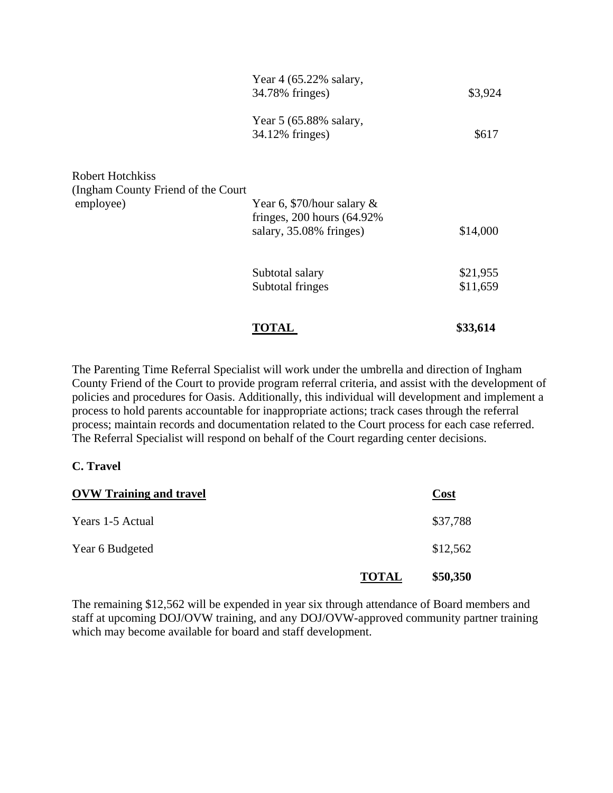|                                                                      | <b>TOTAL</b>                                                                                | \$33,614 |
|----------------------------------------------------------------------|---------------------------------------------------------------------------------------------|----------|
|                                                                      | Subtotal fringes                                                                            | \$11,659 |
|                                                                      | Subtotal salary                                                                             | \$21,955 |
| Robert Hotchkiss<br>(Ingham County Friend of the Court)<br>employee) | Year 6, \$70/hour salary $\&$<br>fringes, $200$ hours $(64.92\%$<br>salary, 35.08% fringes) | \$14,000 |
|                                                                      | Year 5 (65.88% salary,<br>34.12% fringes)                                                   | \$617    |
|                                                                      | Year $4(65.22\%$ salary,<br>34.78% fringes)                                                 | \$3,924  |

The Parenting Time Referral Specialist will work under the umbrella and direction of Ingham County Friend of the Court to provide program referral criteria, and assist with the development of policies and procedures for Oasis. Additionally, this individual will development and implement a process to hold parents accountable for inappropriate actions; track cases through the referral process; maintain records and documentation related to the Court process for each case referred. The Referral Specialist will respond on behalf of the Court regarding center decisions.

#### **C. Travel**

| <b>OVW Training and travel</b> |              | Cost     |
|--------------------------------|--------------|----------|
| Years 1-5 Actual               |              | \$37,788 |
| Year 6 Budgeted                |              | \$12,562 |
|                                | <b>TOTAL</b> | \$50,350 |

The remaining \$12,562 will be expended in year six through attendance of Board members and staff at upcoming DOJ/OVW training, and any DOJ/OVW-approved community partner training which may become available for board and staff development.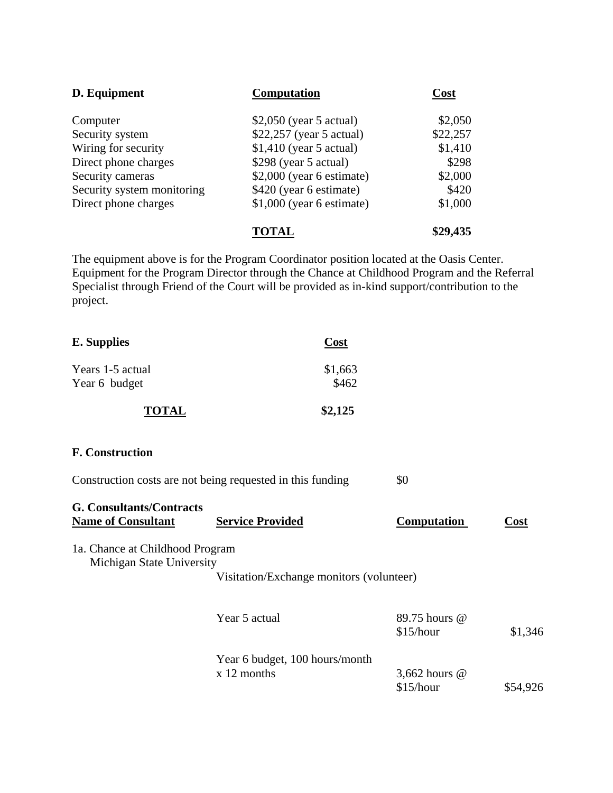| D. Equipment               | <b>Computation</b>         | Cost     |
|----------------------------|----------------------------|----------|
| Computer                   | $$2,050$ (year 5 actual)   | \$2,050  |
| Security system            | \$22,257 (year 5 actual)   | \$22,257 |
| Wiring for security        | $$1,410$ (year 5 actual)   | \$1,410  |
| Direct phone charges       | $$298$ (year 5 actual)     | \$298    |
| Security cameras           | $$2,000$ (year 6 estimate) | \$2,000  |
| Security system monitoring | \$420 (year 6 estimate)    | \$420    |
| Direct phone charges       | $$1,000$ (year 6 estimate) | \$1,000  |
|                            | TOTAL                      | \$29,435 |

The equipment above is for the Program Coordinator position located at the Oasis Center. Equipment for the Program Director through the Chance at Childhood Program and the Referral Specialist through Friend of the Court will be provided as in-kind support/contribution to the project.

| <b>E.</b> Supplies | Cost    |
|--------------------|---------|
| Years 1-5 actual   | \$1,663 |
| Year 6 budget      | \$462   |
| <b>TOTAL</b>       | \$2,125 |

#### **F. Construction**

| Construction costs are not being requested in this funding | \$0 |
|------------------------------------------------------------|-----|
|                                                            |     |

# **G. Consultants/Contracts**

**Name of Consultant Service Provided Computation Cost** 

## 1a. Chance at Childhood Program Michigan State University

Visitation/Exchange monitors (volunteer)

| Year 5 actual                  | 89.75 hours @<br>\$15/hour | \$1,346  |
|--------------------------------|----------------------------|----------|
| Year 6 budget, 100 hours/month |                            |          |
| $x$ 12 months                  | 3,662 hours $@$            |          |
|                                | \$15/hour                  | \$54,926 |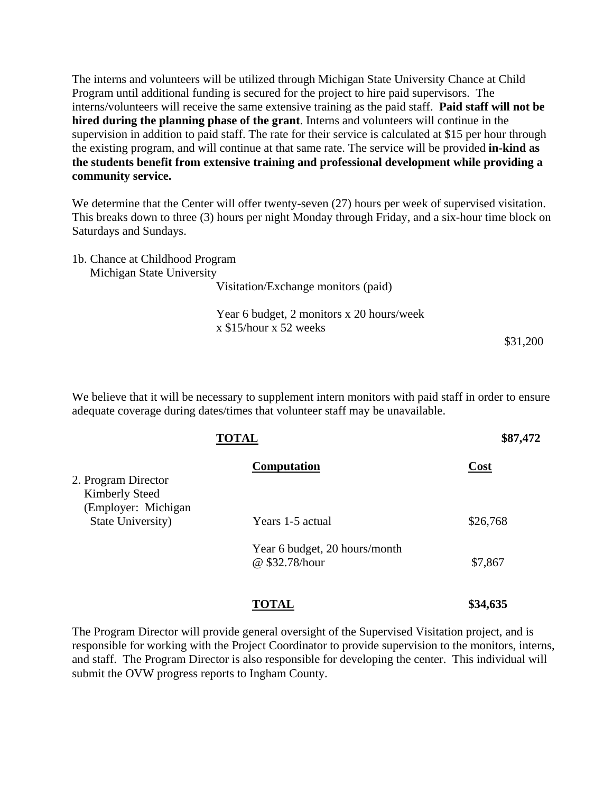The interns and volunteers will be utilized through Michigan State University Chance at Child Program until additional funding is secured for the project to hire paid supervisors. The interns/volunteers will receive the same extensive training as the paid staff. **Paid staff will not be hired during the planning phase of the grant**. Interns and volunteers will continue in the supervision in addition to paid staff. The rate for their service is calculated at \$15 per hour through the existing program, and will continue at that same rate. The service will be provided **in-kind as the students benefit from extensive training and professional development while providing a community service.** 

We determine that the Center will offer twenty-seven  $(27)$  hours per week of supervised visitation. This breaks down to three (3) hours per night Monday through Friday, and a six-hour time block on Saturdays and Sundays.

| 1b. Chance at Childhood Program     |
|-------------------------------------|
| Michigan State University           |
| Visitation/Exchange monitors (paid) |
|                                     |

Year 6 budget, 2 monitors x 20 hours/week x \$15/hour x 52 weeks

\$31,200

We believe that it will be necessary to supplement intern monitors with paid staff in order to ensure adequate coverage during dates/times that volunteer staff may be unavailable.

|                                                                      | <b>TOTAL</b>                                    | \$87,472 |
|----------------------------------------------------------------------|-------------------------------------------------|----------|
| 2. Program Director<br><b>Kimberly Steed</b><br>(Employer: Michigan) | Computation                                     | Cost     |
| State University)                                                    | Years 1-5 actual                                | \$26,768 |
|                                                                      | Year 6 budget, 20 hours/month<br>@ \$32.78/hour | \$7,867  |
|                                                                      | <b>TOTAL</b>                                    | \$34,635 |

The Program Director will provide general oversight of the Supervised Visitation project, and is responsible for working with the Project Coordinator to provide supervision to the monitors, interns, and staff. The Program Director is also responsible for developing the center. This individual will submit the OVW progress reports to Ingham County.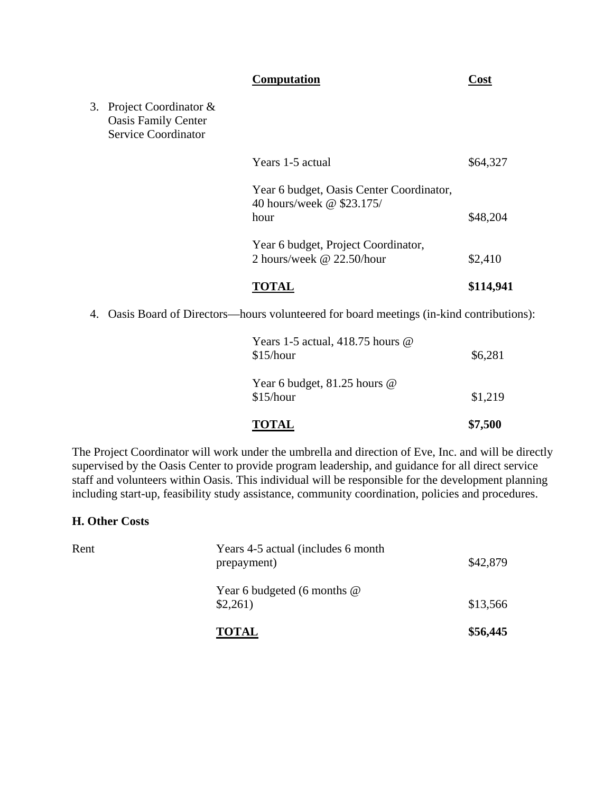#### **Computation Cost**

3. Project Coordinator & Oasis Family Center Service Coordinator

| TOTAL                                                                         | \$114,941 |
|-------------------------------------------------------------------------------|-----------|
| Year 6 budget, Project Coordinator,<br>2 hours/week @ 22.50/hour              | \$2,410   |
| Year 6 budget, Oasis Center Coordinator,<br>40 hours/week @ \$23.175/<br>hour | \$48,204  |
| Years 1-5 actual                                                              | \$64,327  |

4. Oasis Board of Directors—hours volunteered for board meetings (in-kind contributions):

| <b>TOTAL</b>                                         | \$7,500 |
|------------------------------------------------------|---------|
| Year 6 budget, 81.25 hours @<br>\$15/hour            | \$1,219 |
| Years 1-5 actual, 418.75 hours $\omega$<br>\$15/hour | \$6,281 |

The Project Coordinator will work under the umbrella and direction of Eve, Inc. and will be directly supervised by the Oasis Center to provide program leadership, and guidance for all direct service staff and volunteers within Oasis. This individual will be responsible for the development planning including start-up, feasibility study assistance, community coordination, policies and procedures.

#### **H. Other Costs**

|      | <b>TOTAL</b>                                       | \$56,445 |
|------|----------------------------------------------------|----------|
|      | Year 6 budgeted (6 months $@$<br>\$2,261)          | \$13,566 |
| Rent | Years 4-5 actual (includes 6 month)<br>prepayment) | \$42,879 |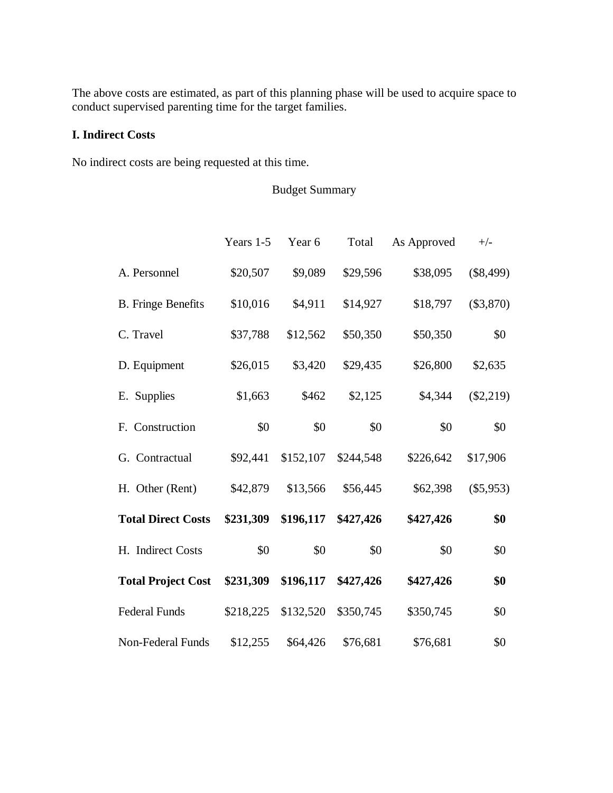The above costs are estimated, as part of this planning phase will be used to acquire space to conduct supervised parenting time for the target families.

## **I. Indirect Costs**

No indirect costs are being requested at this time.

## Budget Summary

|                           | Years 1-5 | Year 6    | Total     | As Approved | $+/-$       |
|---------------------------|-----------|-----------|-----------|-------------|-------------|
| A. Personnel              | \$20,507  | \$9,089   | \$29,596  | \$38,095    | (\$8,499)   |
| <b>B.</b> Fringe Benefits | \$10,016  | \$4,911   | \$14,927  | \$18,797    | $(\$3,870)$ |
| C. Travel                 | \$37,788  | \$12,562  | \$50,350  | \$50,350    | \$0         |
| D. Equipment              | \$26,015  | \$3,420   | \$29,435  | \$26,800    | \$2,635     |
| E. Supplies               | \$1,663   | \$462     | \$2,125   | \$4,344     | (\$2,219)   |
| F. Construction           | \$0       | \$0       | \$0       | \$0         | \$0         |
| G. Contractual            | \$92,441  | \$152,107 | \$244,548 | \$226,642   | \$17,906    |
| H. Other (Rent)           | \$42,879  | \$13,566  | \$56,445  | \$62,398    | $(\$5,953)$ |
| <b>Total Direct Costs</b> | \$231,309 | \$196,117 | \$427,426 | \$427,426   | \$0         |
| H. Indirect Costs         | \$0       | \$0       | \$0       | \$0         | \$0         |
| <b>Total Project Cost</b> | \$231,309 | \$196,117 | \$427,426 | \$427,426   | \$0         |
| <b>Federal Funds</b>      | \$218,225 | \$132,520 | \$350,745 | \$350,745   | \$0         |
| Non-Federal Funds         | \$12,255  | \$64,426  | \$76,681  | \$76,681    | \$0         |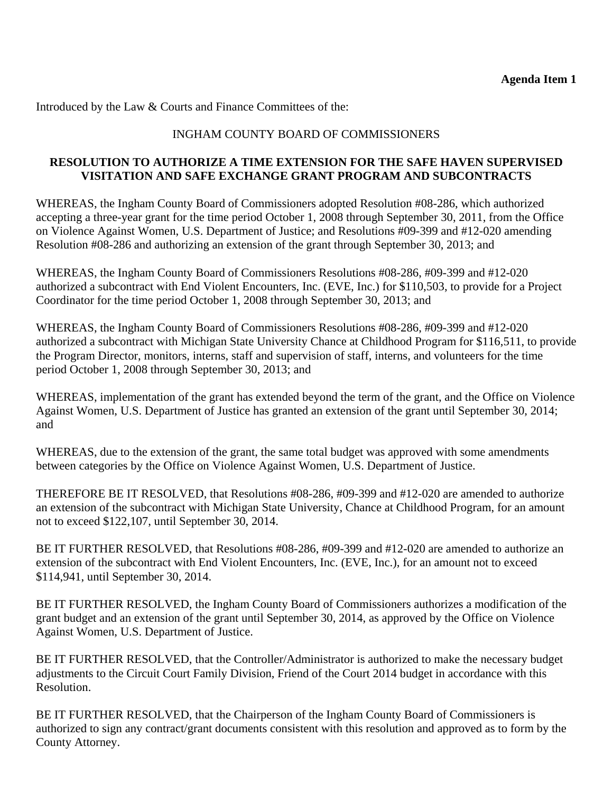Introduced by the Law & Courts and Finance Committees of the:

## INGHAM COUNTY BOARD OF COMMISSIONERS

## **RESOLUTION TO AUTHORIZE A TIME EXTENSION FOR THE SAFE HAVEN SUPERVISED VISITATION AND SAFE EXCHANGE GRANT PROGRAM AND SUBCONTRACTS**

WHEREAS, the Ingham County Board of Commissioners adopted Resolution #08-286, which authorized accepting a three-year grant for the time period October 1, 2008 through September 30, 2011, from the Office on Violence Against Women, U.S. Department of Justice; and Resolutions #09-399 and #12-020 amending Resolution #08-286 and authorizing an extension of the grant through September 30, 2013; and

WHEREAS, the Ingham County Board of Commissioners Resolutions #08-286, #09-399 and #12-020 authorized a subcontract with End Violent Encounters, Inc. (EVE, Inc.) for \$110,503, to provide for a Project Coordinator for the time period October 1, 2008 through September 30, 2013; and

WHEREAS, the Ingham County Board of Commissioners Resolutions #08-286, #09-399 and #12-020 authorized a subcontract with Michigan State University Chance at Childhood Program for \$116,511, to provide the Program Director, monitors, interns, staff and supervision of staff, interns, and volunteers for the time period October 1, 2008 through September 30, 2013; and

WHEREAS, implementation of the grant has extended beyond the term of the grant, and the Office on Violence Against Women, U.S. Department of Justice has granted an extension of the grant until September 30, 2014; and

WHEREAS, due to the extension of the grant, the same total budget was approved with some amendments between categories by the Office on Violence Against Women, U.S. Department of Justice.

THEREFORE BE IT RESOLVED, that Resolutions #08-286, #09-399 and #12-020 are amended to authorize an extension of the subcontract with Michigan State University, Chance at Childhood Program, for an amount not to exceed \$122,107, until September 30, 2014.

BE IT FURTHER RESOLVED, that Resolutions #08-286, #09-399 and #12-020 are amended to authorize an extension of the subcontract with End Violent Encounters, Inc. (EVE, Inc.), for an amount not to exceed \$114,941, until September 30, 2014.

BE IT FURTHER RESOLVED, the Ingham County Board of Commissioners authorizes a modification of the grant budget and an extension of the grant until September 30, 2014, as approved by the Office on Violence Against Women, U.S. Department of Justice.

BE IT FURTHER RESOLVED, that the Controller/Administrator is authorized to make the necessary budget adjustments to the Circuit Court Family Division, Friend of the Court 2014 budget in accordance with this Resolution.

BE IT FURTHER RESOLVED, that the Chairperson of the Ingham County Board of Commissioners is authorized to sign any contract/grant documents consistent with this resolution and approved as to form by the County Attorney.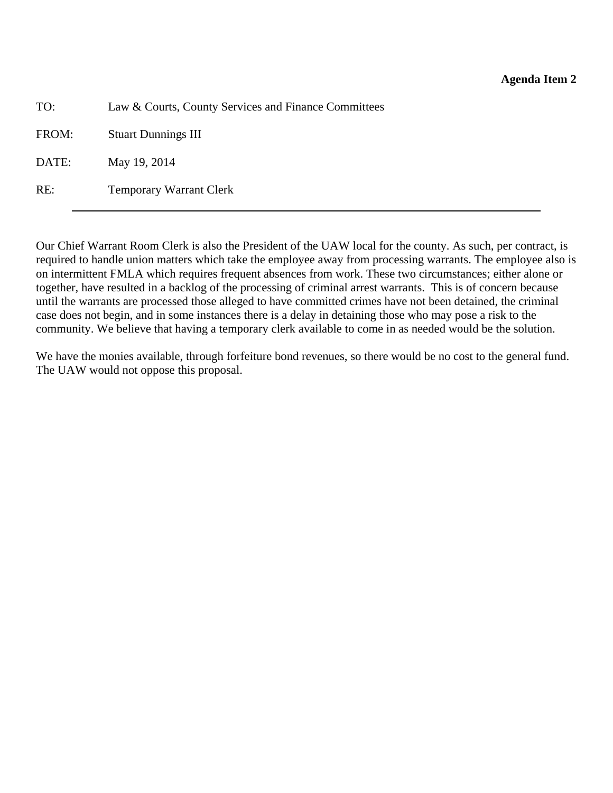<span id="page-14-0"></span>TO: Law & Courts, County Services and Finance Committees

FROM: Stuart Dunnings III

DATE: May 19, 2014

RE: Temporary Warrant Clerk

Our Chief Warrant Room Clerk is also the President of the UAW local for the county. As such, per contract, is required to handle union matters which take the employee away from processing warrants. The employee also is on intermittent FMLA which requires frequent absences from work. These two circumstances; either alone or together, have resulted in a backlog of the processing of criminal arrest warrants. This is of concern because until the warrants are processed those alleged to have committed crimes have not been detained, the criminal case does not begin, and in some instances there is a delay in detaining those who may pose a risk to the community. We believe that having a temporary clerk available to come in as needed would be the solution.

We have the monies available, through forfeiture bond revenues, so there would be no cost to the general fund. The UAW would not oppose this proposal.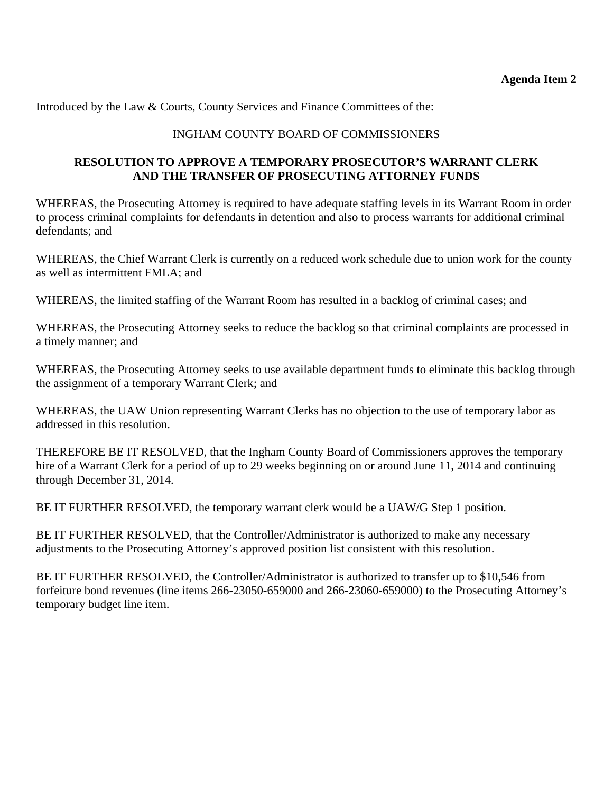Introduced by the Law & Courts, County Services and Finance Committees of the:

## INGHAM COUNTY BOARD OF COMMISSIONERS

## **RESOLUTION TO APPROVE A TEMPORARY PROSECUTOR'S WARRANT CLERK AND THE TRANSFER OF PROSECUTING ATTORNEY FUNDS**

WHEREAS, the Prosecuting Attorney is required to have adequate staffing levels in its Warrant Room in order to process criminal complaints for defendants in detention and also to process warrants for additional criminal defendants; and

WHEREAS, the Chief Warrant Clerk is currently on a reduced work schedule due to union work for the county as well as intermittent FMLA; and

WHEREAS, the limited staffing of the Warrant Room has resulted in a backlog of criminal cases; and

WHEREAS, the Prosecuting Attorney seeks to reduce the backlog so that criminal complaints are processed in a timely manner; and

WHEREAS, the Prosecuting Attorney seeks to use available department funds to eliminate this backlog through the assignment of a temporary Warrant Clerk; and

WHEREAS, the UAW Union representing Warrant Clerks has no objection to the use of temporary labor as addressed in this resolution.

THEREFORE BE IT RESOLVED, that the Ingham County Board of Commissioners approves the temporary hire of a Warrant Clerk for a period of up to 29 weeks beginning on or around June 11, 2014 and continuing through December 31, 2014.

BE IT FURTHER RESOLVED, the temporary warrant clerk would be a UAW/G Step 1 position.

BE IT FURTHER RESOLVED, that the Controller/Administrator is authorized to make any necessary adjustments to the Prosecuting Attorney's approved position list consistent with this resolution.

BE IT FURTHER RESOLVED, the Controller/Administrator is authorized to transfer up to \$10,546 from forfeiture bond revenues (line items 266-23050-659000 and 266-23060-659000) to the Prosecuting Attorney's temporary budget line item.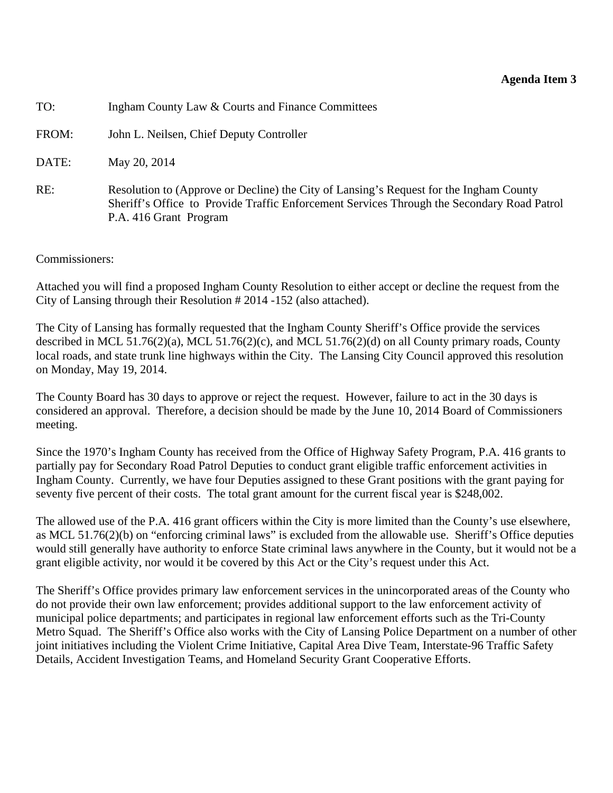#### **Agenda Item 3**

<span id="page-16-0"></span>TO: Ingham County Law & Courts and Finance Committees

FROM: John L. Neilsen, Chief Deputy Controller

DATE: May 20, 2014

RE: Resolution to (Approve or Decline) the City of Lansing's Request for the Ingham County Sheriff's Office to Provide Traffic Enforcement Services Through the Secondary Road Patrol P.A. 416 Grant Program

#### Commissioners:

Attached you will find a proposed Ingham County Resolution to either accept or decline the request from the City of Lansing through their Resolution # 2014 -152 (also attached).

The City of Lansing has formally requested that the Ingham County Sheriff's Office provide the services described in MCL 51.76(2)(a), MCL 51.76(2)(c), and MCL 51.76(2)(d) on all County primary roads, County local roads, and state trunk line highways within the City. The Lansing City Council approved this resolution on Monday, May 19, 2014.

The County Board has 30 days to approve or reject the request. However, failure to act in the 30 days is considered an approval. Therefore, a decision should be made by the June 10, 2014 Board of Commissioners meeting.

Since the 1970's Ingham County has received from the Office of Highway Safety Program, P.A. 416 grants to partially pay for Secondary Road Patrol Deputies to conduct grant eligible traffic enforcement activities in Ingham County. Currently, we have four Deputies assigned to these Grant positions with the grant paying for seventy five percent of their costs. The total grant amount for the current fiscal year is \$248,002.

The allowed use of the P.A. 416 grant officers within the City is more limited than the County's use elsewhere, as MCL 51.76(2)(b) on "enforcing criminal laws" is excluded from the allowable use. Sheriff's Office deputies would still generally have authority to enforce State criminal laws anywhere in the County, but it would not be a grant eligible activity, nor would it be covered by this Act or the City's request under this Act.

The Sheriff's Office provides primary law enforcement services in the unincorporated areas of the County who do not provide their own law enforcement; provides additional support to the law enforcement activity of municipal police departments; and participates in regional law enforcement efforts such as the Tri-County Metro Squad. The Sheriff's Office also works with the City of Lansing Police Department on a number of other joint initiatives including the Violent Crime Initiative, Capital Area Dive Team, Interstate-96 Traffic Safety Details, Accident Investigation Teams, and Homeland Security Grant Cooperative Efforts.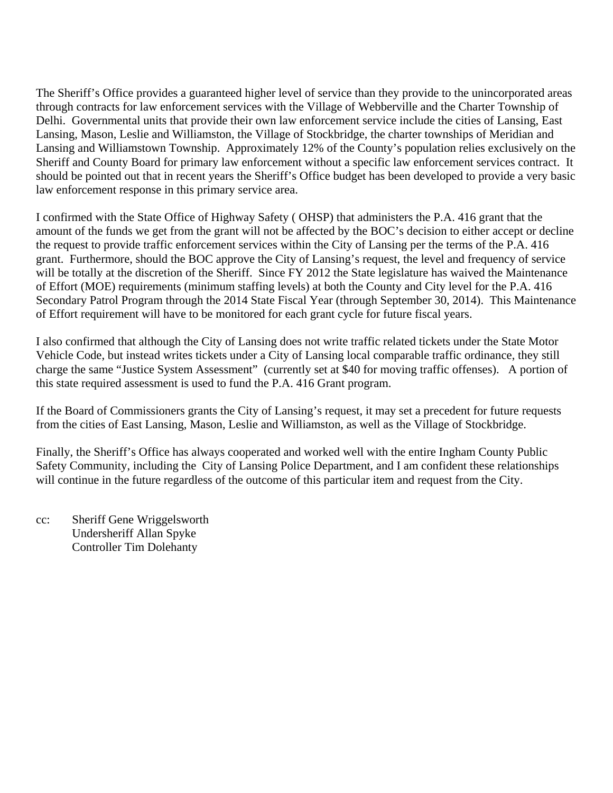The Sheriff's Office provides a guaranteed higher level of service than they provide to the unincorporated areas through contracts for law enforcement services with the Village of Webberville and the Charter Township of Delhi. Governmental units that provide their own law enforcement service include the cities of Lansing, East Lansing, Mason, Leslie and Williamston, the Village of Stockbridge, the charter townships of Meridian and Lansing and Williamstown Township. Approximately 12% of the County's population relies exclusively on the Sheriff and County Board for primary law enforcement without a specific law enforcement services contract. It should be pointed out that in recent years the Sheriff's Office budget has been developed to provide a very basic law enforcement response in this primary service area.

I confirmed with the State Office of Highway Safety ( OHSP) that administers the P.A. 416 grant that the amount of the funds we get from the grant will not be affected by the BOC's decision to either accept or decline the request to provide traffic enforcement services within the City of Lansing per the terms of the P.A. 416 grant. Furthermore, should the BOC approve the City of Lansing's request, the level and frequency of service will be totally at the discretion of the Sheriff. Since FY 2012 the State legislature has waived the Maintenance of Effort (MOE) requirements (minimum staffing levels) at both the County and City level for the P.A. 416 Secondary Patrol Program through the 2014 State Fiscal Year (through September 30, 2014). This Maintenance of Effort requirement will have to be monitored for each grant cycle for future fiscal years.

I also confirmed that although the City of Lansing does not write traffic related tickets under the State Motor Vehicle Code, but instead writes tickets under a City of Lansing local comparable traffic ordinance, they still charge the same "Justice System Assessment" (currently set at \$40 for moving traffic offenses). A portion of this state required assessment is used to fund the P.A. 416 Grant program.

If the Board of Commissioners grants the City of Lansing's request, it may set a precedent for future requests from the cities of East Lansing, Mason, Leslie and Williamston, as well as the Village of Stockbridge.

Finally, the Sheriff's Office has always cooperated and worked well with the entire Ingham County Public Safety Community, including the City of Lansing Police Department, and I am confident these relationships will continue in the future regardless of the outcome of this particular item and request from the City.

cc: Sheriff Gene Wriggelsworth Undersheriff Allan Spyke Controller Tim Dolehanty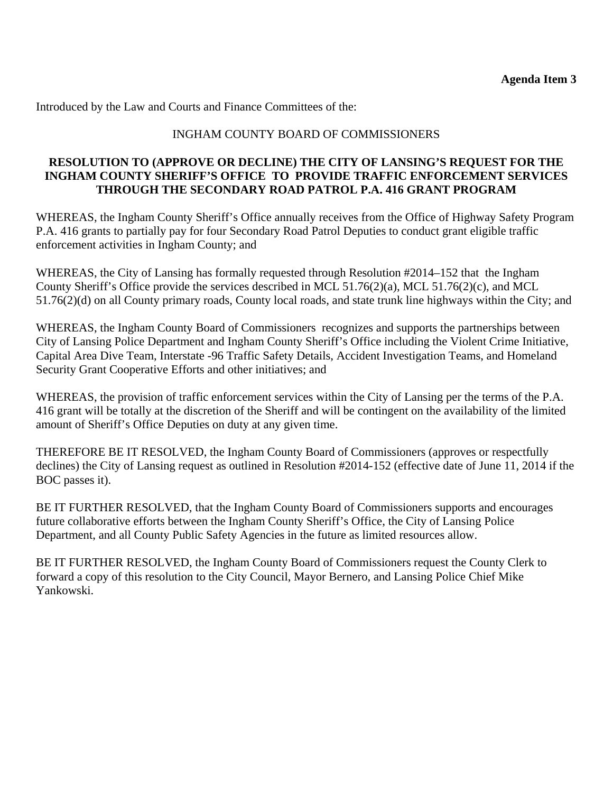Introduced by the Law and Courts and Finance Committees of the:

## INGHAM COUNTY BOARD OF COMMISSIONERS

## **RESOLUTION TO (APPROVE OR DECLINE) THE CITY OF LANSING'S REQUEST FOR THE INGHAM COUNTY SHERIFF'S OFFICE TO PROVIDE TRAFFIC ENFORCEMENT SERVICES THROUGH THE SECONDARY ROAD PATROL P.A. 416 GRANT PROGRAM**

WHEREAS, the Ingham County Sheriff's Office annually receives from the Office of Highway Safety Program P.A. 416 grants to partially pay for four Secondary Road Patrol Deputies to conduct grant eligible traffic enforcement activities in Ingham County; and

WHEREAS, the City of Lansing has formally requested through Resolution #2014–152 that the Ingham County Sheriff's Office provide the services described in MCL 51.76(2)(a), MCL 51.76(2)(c), and MCL 51.76(2)(d) on all County primary roads, County local roads, and state trunk line highways within the City; and

WHEREAS, the Ingham County Board of Commissioners recognizes and supports the partnerships between City of Lansing Police Department and Ingham County Sheriff's Office including the Violent Crime Initiative, Capital Area Dive Team, Interstate -96 Traffic Safety Details, Accident Investigation Teams, and Homeland Security Grant Cooperative Efforts and other initiatives; and

WHEREAS, the provision of traffic enforcement services within the City of Lansing per the terms of the P.A. 416 grant will be totally at the discretion of the Sheriff and will be contingent on the availability of the limited amount of Sheriff's Office Deputies on duty at any given time.

THEREFORE BE IT RESOLVED, the Ingham County Board of Commissioners (approves or respectfully declines) the City of Lansing request as outlined in Resolution #2014-152 (effective date of June 11, 2014 if the BOC passes it).

BE IT FURTHER RESOLVED, that the Ingham County Board of Commissioners supports and encourages future collaborative efforts between the Ingham County Sheriff's Office, the City of Lansing Police Department, and all County Public Safety Agencies in the future as limited resources allow.

BE IT FURTHER RESOLVED, the Ingham County Board of Commissioners request the County Clerk to forward a copy of this resolution to the City Council, Mayor Bernero, and Lansing Police Chief Mike Yankowski.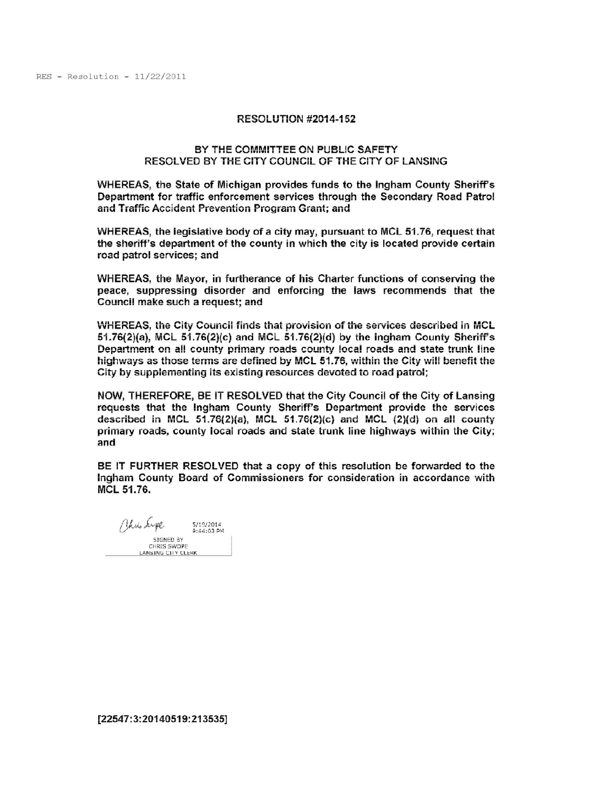#### **RESOLUTION #2014-152**

#### BY THE COMMITTEE ON PUBLIC SAFETY RESOLVED BY THE CITY COUNCIL OF THE CITY OF LANSING

WHEREAS, the State of Michigan provides funds to the Ingham County Sheriff's Department for traffic enforcement services through the Secondary Road Patrol and Traffic Accident Prevention Program Grant; and

WHEREAS, the legislative body of a city may, pursuant to MCL 51.76, request that the sheriff's department of the county in which the city is located provide certain road patrol services; and

WHEREAS, the Mayor, in furtherance of his Charter functions of conserving the peace, suppressing disorder and enforcing the laws recommends that the Council make such a request; and

WHEREAS, the City Council finds that provision of the services described in MCL  $51.76(2)(a)$ , MCL  $51.76(2)(c)$  and MCL  $51.76(2)(d)$  by the ingham County Sheriff's Department on all county primary roads county local roads and state trunk line highways as those terms are defined by MCL 51.76, within the City will benefit the City by supplementing its existing resources devoted to road patrol;

NOW, THEREFORE, BE IT RESOLVED that the City Council of the City of Lansing requests that the Ingham County Sheriff's Department provide the services described in MCL 51.76(2)(a), MCL 51.76(2)(c) and MCL (2)(d) on all county primary roads, county local roads and state trunk line highways within the City; and

BE IT FURTHER RESOLVED that a copy of this resolution be forwarded to the Ingham County Board of Commissioners for consideration in accordance with MCL 51.76.

Philo Supe 5/19/2014 9:44:03 PM SIGNED BY CHRIS SWOPE LANSING CITY CLERK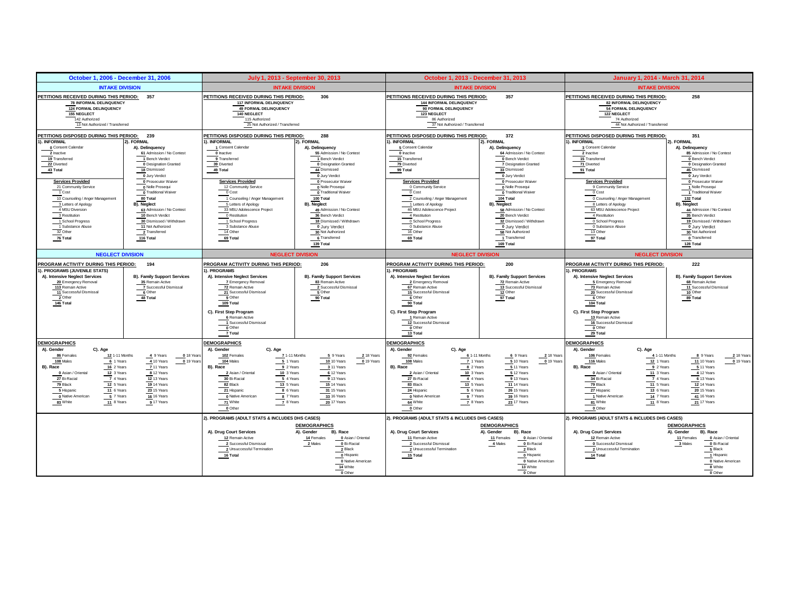<span id="page-20-0"></span>

| October 1, 2006 - December 31, 2006                                                                                                                                                                                                                                                                                   |                                                                                                                                                                                                                                              | July 1, 2013 - September 30, 2013                                                                                                                                                                                                                                                                                                |                                                                                                                                                                                                                                                                 | October 1, 2013 - December 31, 2013                                                                                                                                                                                                                                                                                     |                                                                                                                                                                                                                                                                 | January 1, 2014 - March 31, 2014                                                                                                                                                                                                                                                                                                 |                                                                                                                                                                                                                                                               |  |
|-----------------------------------------------------------------------------------------------------------------------------------------------------------------------------------------------------------------------------------------------------------------------------------------------------------------------|----------------------------------------------------------------------------------------------------------------------------------------------------------------------------------------------------------------------------------------------|----------------------------------------------------------------------------------------------------------------------------------------------------------------------------------------------------------------------------------------------------------------------------------------------------------------------------------|-----------------------------------------------------------------------------------------------------------------------------------------------------------------------------------------------------------------------------------------------------------------|-------------------------------------------------------------------------------------------------------------------------------------------------------------------------------------------------------------------------------------------------------------------------------------------------------------------------|-----------------------------------------------------------------------------------------------------------------------------------------------------------------------------------------------------------------------------------------------------------------|----------------------------------------------------------------------------------------------------------------------------------------------------------------------------------------------------------------------------------------------------------------------------------------------------------------------------------|---------------------------------------------------------------------------------------------------------------------------------------------------------------------------------------------------------------------------------------------------------------|--|
| <b>INTAKE DIVISION</b>                                                                                                                                                                                                                                                                                                |                                                                                                                                                                                                                                              |                                                                                                                                                                                                                                                                                                                                  | <b>INTAKE DIVISION</b>                                                                                                                                                                                                                                          | <b>INTAKE DIVISION</b>                                                                                                                                                                                                                                                                                                  |                                                                                                                                                                                                                                                                 | <b>INTAKE DIVISION</b>                                                                                                                                                                                                                                                                                                           |                                                                                                                                                                                                                                                               |  |
| PETITIONS RECEIVED DURING THIS PERIOD: 357<br>78 INFORMAL DELINQUENCY<br>124 FORMAL DELINQUENCY<br>155 NEGLECT<br>142 Authorized<br>13 Not Authorized / Transferred                                                                                                                                                   |                                                                                                                                                                                                                                              | PETITIONS RECEIVED DURING THIS PERIOD:<br>117 INFORMAL DELINQUENCY<br>49 FORMAL DELINQUENCY<br>140 NEGLECT<br>115 Authorized<br>25 Not Authorized / Transferred                                                                                                                                                                  | 306                                                                                                                                                                                                                                                             | PETITIONS RECEIVED DURING THIS PERIOD:<br>144 INFORMAL DELINQUENCY<br>90 FORMAL DELINQUENCY<br>123 NEGLECT<br>86 Authorized<br>37 Not Authorized / Transferred                                                                                                                                                          | 357                                                                                                                                                                                                                                                             | PETITIONS RECEIVED DURING THIS PERIOD:<br>82 INFORMAL DELINQUENCY<br>54 FORMAL DELINQUENCY<br>122 NEGLECT<br>74 Authorized<br>44 Not Authorized / Transferred                                                                                                                                                                    | 258                                                                                                                                                                                                                                                           |  |
| PETITIONS DISPOSED DURING THIS PERIOD: 239<br>. INFORMAL<br>0 Consent Calendar<br>2 Inactive<br>19 Transferred<br>22 Diverted<br>43 Total                                                                                                                                                                             | 2). FORMAL<br>A). Delinquency<br>61 Admission / No Contest<br>1 Bench Verdict<br><b>0</b> Designation Granted<br>18 Dismissed                                                                                                                | PETITIONS DISPOSED DURING THIS PERIOD:<br>1). INFORMAL<br>1 Consent Calendar<br>0 Inactive<br>9 Transferred<br>39 Diverted<br>49 Total                                                                                                                                                                                           | 288<br>2). FORMAL<br>A). Delinquency<br>55 Admission / No Contest<br>1 Bench Verdict<br><b>0</b> Designation Granted<br>44 Dismissed                                                                                                                            | PETITIONS DISPOSED DURING THIS PERIOD:<br>). INFORMAL<br>5 Consent Calendar<br>0 Inactive<br>15 Transferred<br>79 Diverted<br>99 Total                                                                                                                                                                                  | 372<br>2). FORMAL<br>A). Delinquency<br>64 Admission / No Contest<br>0 Bench Verdict<br>7 Designation Granted<br>33 Dismissed                                                                                                                                   | PETITIONS DISPOSED DURING THIS PERIOD:<br>1). INFORMAL<br>3 Consent Calendar<br>2 Inactive<br>15 Transferred<br>71 Diverted<br>91 Total                                                                                                                                                                                          | 351<br>2). FORMAL<br>A). Delinquency<br>85 Admission / No Contest<br>0 Bench Verdict<br>0 Designation Granted<br>45 Dismissed                                                                                                                                 |  |
| <b>Services Provided</b><br>21 Community Service<br>1 Cost<br>10 Counseling / Anger Management<br>3 Letters of Apology<br>4 MSU Diversion<br>3 Restitution<br>1 School Progress<br>1 Substance Abuse<br>32 Other<br>76 Total                                                                                          | 0 Jury Verdict<br>0 Prosecutor Waiver<br>0 Nolle Prosequi<br>0 Traditional Waiver<br>80 Total<br>B). Neglect<br>63 Admission / No Contest<br>10 Bench Verdict<br>30 Dismissed / Withdrawn<br>11 Not Authorized<br>2 Transferred<br>116 Total | <b>Services Provided</b><br>12 Community Service<br>0 Cost<br>1 Counseling / Anger Management<br>5 Letters of Apology<br>33 MSU Adolescence Project<br>0 Restitution<br>1 School Progress<br>3 Substance Abuse<br>14 Other<br>69 Total                                                                                           | 0 Jury Verdict<br>0 Prosecutor Waiver<br>0 Nolle Prosequi<br>0 Traditional Waiver<br>100 Total<br>B). Neglect<br>49 Admission / No Contest<br>36 Bench Verdict<br>18 Dismissed / Withdrawn<br>0 Jury Verdict<br>30 Not Authorized<br>6 Transferred<br>139 Total | <b>Services Provided</b><br>0 Community Service<br>0 Cost<br>2 Counseling / Anger Management<br>1 Letters of Apology<br>46 MSU Adolescence Project<br>4 Restitution<br>0 School Progress<br>0 Substance Abuse<br>16 Other<br>69 Total                                                                                   | 0 Jury Verdict<br>0 Prosecutor Waiver<br>0 Nolle Prosequi<br>0 Traditional Waiver<br>104 Total<br>B). Neglect<br>58 Admission / No Contest<br>20 Bench Verdict<br>32 Dismissed / Withdrawn<br>0 Jury Verdict<br>58 Not Authorized<br>1 Transferred<br>169 Total | <b>Services Provided</b><br>9 Community Service<br>0 Cost<br>0 Counseling / Anger Management<br>8 Letters of Apology<br>63 MSU Adolescence Project<br>4 Restitution<br>0 School Progress<br>0 Substance Abuse<br>13 Other<br>97 Total                                                                                            | 0 Jury Verdict<br>0 Prosecutor Waiver<br>1 Nolle Prosequi<br>Traditional Waiver<br>132 Total<br>B). Neglect<br>44 Admission / No Contest<br>35 Bench Verdict<br>19 Dismissed / Withdrawn<br>0 Jury Verdict<br>30 Not Authorized<br>0 Transferred<br>128 Total |  |
| <b>NEGLECT DIVISION</b>                                                                                                                                                                                                                                                                                               |                                                                                                                                                                                                                                              |                                                                                                                                                                                                                                                                                                                                  | <b>NEGLECT DIVISION</b>                                                                                                                                                                                                                                         | <b>NEGLECT DIVISION</b>                                                                                                                                                                                                                                                                                                 |                                                                                                                                                                                                                                                                 | <b>NEGLECT DIVISION</b>                                                                                                                                                                                                                                                                                                          |                                                                                                                                                                                                                                                               |  |
| PROGRAM ACTIVITY DURING THIS PERIOD:<br>PROGRAMS (JUVENILE STATS)<br>A). Intensive Neglect Services<br>20 Emergency Removal<br>113 Remain Active<br>11 Successful Dismissal<br>2 Other<br>146 Total                                                                                                                   | 194<br><b>B). Family Support Services</b><br>35 Remain Active<br>7 Successful Dismissal<br>6 Other<br>48 Total                                                                                                                               | PROGRAM ACTIVITY DURING THIS PERIOD:<br>1). PROGRAMS<br>A). Intensive Neglect Services<br>7 Emergency Removal<br>72 Remain Active<br>21 Successful Dismissal<br>9 Other<br>$109$ Total<br>C). First Step Program<br>6 Remain Active<br>1 Successful Dismissal<br>$\overline{\phantom{0}}$ Other<br>$\frac{7}{2}$ Total           | 206<br><b>B). Family Support Services</b><br>83 Remain Active<br>2 Successful Dismissal<br>5 Other<br>90 Total                                                                                                                                                  | PROGRAM ACTIVITY DURING THIS PERIOD:<br>). PROGRAMS<br>A). Intensive Neglect Services<br>2 Emergency Removal<br>67 Remain Active<br>15 Successful Dismissal<br>6 Other<br>90 Total<br>C). First Step Program<br>1 Remain Active<br>12 Successful Dismissal<br>0 Other<br>13 Total                                       | 200<br><b>B). Family Support Services</b><br>72 Remain Active<br>13 Successful Dismissal<br>12 Other<br>97 Total                                                                                                                                                | PROGRAM ACTIVITY DURING THIS PERIOD:<br>I). PROGRAMS<br>A). Intensive Neglect Services<br>5 Emergency Removal<br>73 Remain Active<br>20 Successful Dismissal<br>6 Other<br>$104$ Total<br>C). First Step Program<br>13 Remain Active<br>16 Successful Dismissal<br>$\overline{\bullet}$ Other<br>29 Total                        | 222<br><b>B). Family Support Services</b><br>68 Remain Active<br>11 Successful Dismissal<br>10 Other<br>89 Total                                                                                                                                              |  |
| <b>DEMOGRAPHICS</b><br>A). Gender<br>C). Age<br>86 Females<br>12 1-11 Months<br>$6$ 1 Years<br>108 Males<br>16 2 Years<br>B). Race<br>12 3 Years<br>0 Asian / Oriental<br>27 Bi-Racial<br>7 4 Years<br>79 Black<br>12 5 Years<br>5 Hispanic<br>11 6 Years<br>0 Native American<br>5 7 Years<br>83 White<br>11 8 Years | 4 9 Years<br>$0$ <sub>18</sub> Years<br>4 10 Years<br>$0$ <sup>19 Years</sup><br>7 11 Years<br>8 12 Years<br>12 13 Years<br>19 14 Years<br>23 15 Years<br>16 16 Years<br>9 17 Years                                                          | <b>DEMOGRAPHICS</b><br>A). Gender<br>C). Age<br>102 Females<br>7.1-11 Months<br>$5$ 1 Years<br>104 Males<br>9 2 Years<br>B). Race<br>10 3 Years<br>2 Asian / Oriental<br>30 Bi-Racial<br>5 4 Years<br>82 Black<br>13 5 Years<br>8 6 Years<br>21 Hispanic<br>0 Native American<br>8 7 Years<br>71 White<br>7 8 Years<br>$0$ Other | 5 9 Years<br>218 Years<br>10 Years<br>$0$ 19 Years<br>3 11 Years<br>6 12 Years<br>9 13 Years<br>15 14 Years<br>31 15 Years<br>33 16 Years<br>20 17 Years                                                                                                        | <b>DEMOGRAPHICS</b><br>A). Gender<br>C). Age<br>92 Females<br>$\frac{7}{2}$ 1 Years<br>108 Males<br>8 2 Years<br>B). Race<br>10 3 Years<br>2 Asian / Oriental<br>27 Bi-Racial<br>4 4 Years<br>83 Black<br>13 5 Years<br>24 Hispanic<br>$56$ Years<br>0 Native American<br>9 7 Years<br>64 White<br>7 8 Years<br>0 Other | 6 1-11 Months<br>6 9 Years<br>2 18 Years<br>510 Years<br>$_0$ 19 Years<br>5 11 Years<br>$5$ <sup>12</sup> Years<br>9 13 Years<br><b>11 14 Years</b><br>26 15 Years<br>39 16 Years<br>23 17 Years                                                                | <b>DEMOGRAPHICS</b><br>A). Gender<br>C). Age<br>106 Females<br>4 1-11 Months<br>116 Males<br>12 1 Years<br>B). Race<br>9 2 Years<br>0 Asian / Oriental<br>11 3 Years<br>34 Bi-Racial<br>7 4 Years<br>11 5 Years<br>79 Black<br>27 Hispanic<br>13 6 Years<br>1 Native American<br>14 7 Years<br>81 White<br>11 8 Years<br>0 Other | 8 9 Years<br>218 Years<br>11 10 Years<br>0 19 Years<br>5 11 Years<br>4 12 Years<br>6 13 Years<br><b>12 14 Years</b><br>20 15 Years<br>41 16 Years<br>21 17 Years                                                                                              |  |
|                                                                                                                                                                                                                                                                                                                       |                                                                                                                                                                                                                                              | 2). PROGRAMS (ADULT STATS & INCLUDES DHS CASES)<br>A). Drug Court Services<br>12 Remain Active<br>2 Successful Dismissal<br>2 Unsuccessful Termination<br>16 Total                                                                                                                                                               | <b>DEMOGRAPHICS</b><br>A). Gender<br>B), Race<br>14 Females<br>0 Asian / Oriental<br>2 Males<br>0 Bi-Racial<br>2 Black<br>0 Hispanic<br>0 Native American<br>14 White<br>0 Other                                                                                | 2). PROGRAMS (ADULT STATS & INCLUDES DHS CASES)<br>A). Drug Court Services<br>11 Remain Active<br>2 Successful Dismissal<br>2 Unsuccessful Termination<br>15 Total                                                                                                                                                      | <b>DEMOGRAPHICS</b><br>A). Gender<br>B). Race<br>0 Asian / Oriental<br>11 Females<br>4 Males<br>0 Bi-Racial<br>2 Black<br>0 Hispanic<br>0 Native American<br>13 White<br>0 Other                                                                                | 2). PROGRAMS (ADULT STATS & INCLUDES DHS CASES)<br>A). Drug Court Services<br>12 Remain Active<br>0 Successful Dismissal<br>2 Unsuccessful Termination<br>14 Total                                                                                                                                                               | <b>DEMOGRAPHICS</b><br>A), Gender<br>B), Race<br>11 Females<br>0 Asian / Oriental<br>3 Males<br>0 Bi-Racial<br>5 Black<br>1 Hispanic<br>0 Native American<br>8 White<br>0 Other                                                                               |  |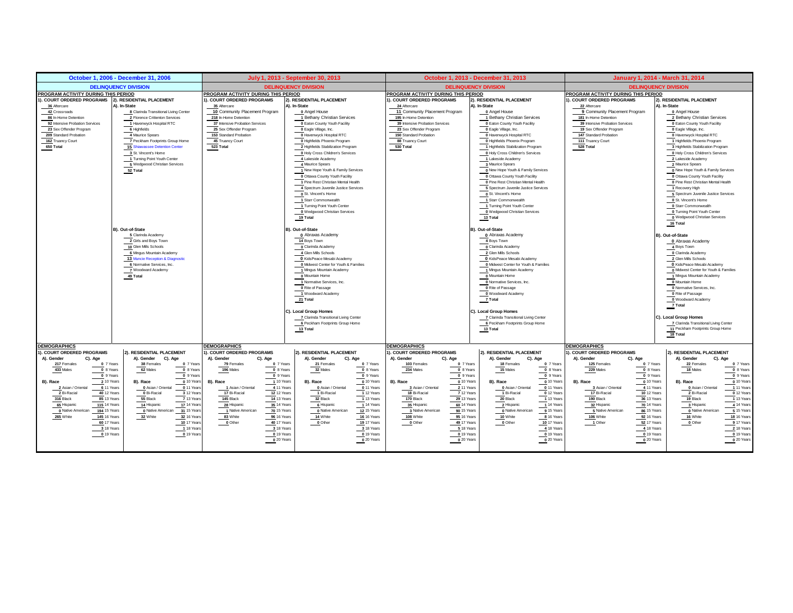|                                                   | October 1, 2006 - December 31, 2006              |                                                   | July 1, 2013 - September 30, 2013                |                                                   | October 1, 2013 - December 31, 2013             |                                                   | January 1, 2014 - March 31, 2014                                  |  |
|---------------------------------------------------|--------------------------------------------------|---------------------------------------------------|--------------------------------------------------|---------------------------------------------------|-------------------------------------------------|---------------------------------------------------|-------------------------------------------------------------------|--|
|                                                   | <b>DELINQUENCY DIVISION</b>                      |                                                   | <b>DELINQUENCY DIVISION</b>                      |                                                   | <b>DELINQUENCY DIVISION</b>                     | <b>DELINQUENCY DIVISION</b>                       |                                                                   |  |
| PROGRAM ACTIVITY DURING THIS PERIOD               |                                                  | PROGRAM ACTIVITY DURING THIS PERIOD               |                                                  |                                                   | PROGRAM ACTIVITY DURING THIS PERIOD             |                                                   | PROGRAM ACTIVITY DURING THIS PERIOD                               |  |
| I). COURT ORDERED PROGRAMS                        | 2). RESIDENTIAL PLACEMENT                        | 1). COURT ORDERED PROGRAMS                        | 2). RESIDENTIAL PLACEMENT                        | ). COURT ORDERED PROGRAMS                         | ). RESIDENTIAL PLACEMENT                        | <b>. COURT ORDERED PROGRAMS</b>                   | 2). RESIDENTIAL PLACEMENT                                         |  |
| 36 Aftercare                                      | A). In-State                                     | 35 Aftercare                                      | A). In-State                                     | 24 Aftercare                                      | A). In-State                                    | 22 Aftercare                                      | A). In-State                                                      |  |
| 42 Crossroads                                     | 8 Clarinda Transitional Living Center            | 10 Community Placement Program                    | 0 Angel House                                    | 11 Community Placement Program                    | 0 Angel House                                   | 9 Community Placement Program                     | 0 Angel House                                                     |  |
| 86 In-Home Detention                              | 2 Florence Crittenton Services                   | 218 In-Home Detention                             | 1 Bethany Christian Services                     | 195 In-Home Detention                             | 1 Bethany Christian Services                    | 181 In-Home Detention                             | 2 Bethany Christian Services                                      |  |
| 92 Intensive Probation Services                   | 1 Havenwyck Hospital RTC                         | 37 Intensive Probation Services                   | <b>0 Eaton County Youth Facility</b>             | 39 Intensive Probation Services                   | 0 Eaton County Youth Facility                   | 39 Intensive Probation Services                   | <b>0</b> Eaton County Youth Facility                              |  |
| 23 Sex Offender Program                           | 6 Highfields                                     | 25 Sex Offender Program                           | 0 Eagle Village, Inc.                            | 23 Sex Offender Program                           | 0 Eagle Village, Inc.                           | 19 Sex Offender Program                           | O Eagle Village, Inc.                                             |  |
| 209 Standard Probation                            | 4 Maurice Spears                                 | 153 Standard Probation                            | 0 Havenwyck Hospital RTC                         | 150 Standard Probation                            | 0 Havenwyck Hospital RTC                        | 147 Standard Probation                            | 0 Havenwyck Hospital RTC                                          |  |
| 162 Truancy Court                                 | 7 Peckham Footprints Group Home                  | 45 Truancy Court                                  | 0 Highfields Phoenix Program                     | 88 Truancy Court                                  | 0 Highfields Phoenix Program                    | 111 Truancy Court                                 | 1 Highfields Phoenix Program                                      |  |
| 650 Total                                         | <b>15 Shiawassee Detention Center</b>            | 523 Total                                         | 2 Highfields Stabilization Program               | 530 Total                                         | 1 Highfields Stabilization Program              | 528 Total                                         | 3 Highfields Stabilization Program                                |  |
|                                                   | 3 St. Vincent's Home                             |                                                   | 0 Holy Cross Children's Services                 |                                                   | 0 Holy Cross Children's Services                |                                                   | 0 Holy Cross Children's Services                                  |  |
|                                                   | 1 Turning Point Youth Center                     |                                                   | 4 Lakeside Academy                               |                                                   | 1 Lakeside Academy                              |                                                   | 2 Lakeside Academy                                                |  |
|                                                   | 5 Wedgwood Christian Services                    |                                                   | 4 Maurice Spears                                 |                                                   | 3 Maurice Spears                                |                                                   | 2 Maurice Spears                                                  |  |
|                                                   | 52 Total                                         |                                                   | 1 New Hope Youth & Family Services               |                                                   | 0 New Hope Youth & Family Services              |                                                   | 0 New Hope Youth & Family Services                                |  |
|                                                   |                                                  |                                                   | O Ottawa County Youth Facility                   |                                                   | O Ottawa County Youth Facility                  |                                                   | O Ottawa County Youth Facility                                    |  |
|                                                   |                                                  |                                                   | 1 Pine Rest Christian Mental Health              |                                                   | 0 Pine Rest Christian Mental Health             |                                                   | 0 Pine Rest Christian Mental Health                               |  |
|                                                   |                                                  |                                                   | 4 Spectrum Juvenile Justice Services             |                                                   | 5 Spectrum Juvenile Justice Services            |                                                   | 1 Recovery High                                                   |  |
|                                                   |                                                  |                                                   | 0 St. Vincent's Home                             |                                                   | 0 St. Vincent's Home                            |                                                   | 5 Spectrum Juvenile Justice Services                              |  |
|                                                   |                                                  |                                                   | 1 Starr Commonwealth                             |                                                   | 1 Starr Commonwealth                            |                                                   | 0 St. Vincent's Home                                              |  |
|                                                   |                                                  |                                                   | 1 Turning Point Youth Center                     |                                                   | 1 Turning Point Youth Center                    |                                                   | 0 Starr Commonwealth                                              |  |
|                                                   |                                                  |                                                   | 0 Wedgwood Christian Services                    |                                                   | 0 Wedgwood Christian Services                   |                                                   | 0 Turning Point Youth Center                                      |  |
|                                                   |                                                  |                                                   | 19 Total                                         |                                                   | 13 Total                                        |                                                   | 0 Wedgwood Christian Services                                     |  |
|                                                   |                                                  |                                                   |                                                  |                                                   |                                                 |                                                   | 16 Total                                                          |  |
|                                                   | B). Out-of-State                                 |                                                   | B). Out-of-State                                 |                                                   | B). Out-of-State                                |                                                   |                                                                   |  |
|                                                   | 5 Clarinda Academy                               |                                                   | 0 Abraxas Academy                                |                                                   | <b>0</b> Abraxas Academy                        |                                                   | B). Out-of-State                                                  |  |
|                                                   | 2 Girls and Boys Town                            |                                                   | 14 Boys Town                                     |                                                   | 4 Boys Town                                     |                                                   | 0 Abraxas Academy                                                 |  |
|                                                   | 10 Glen Mills Schools                            |                                                   | 0 Clarinda Academy                               |                                                   | 0 Clarinda Academy                              |                                                   | 4 Boys Town                                                       |  |
|                                                   | 6 Mingus Mountain Academy                        |                                                   | 4 Glen Mills Schools                             |                                                   | 2 Glen Mills Schools                            |                                                   | 0 Clarinda Academy                                                |  |
|                                                   | 13 Muncie Reception & Diagnostic                 |                                                   | O Kids Peace Mesabi Academy                      |                                                   | O KidsPeace Mesabi Academy                      |                                                   | 2 Glen Mills Schools                                              |  |
|                                                   | 6 Normative Services, Inc.<br>7 Woodward Academy |                                                   | 0 Midwest Center for Youth & Families            |                                                   | 0 Midwest Center for Youth & Families           |                                                   | O KidsPeace Mesabi Academy                                        |  |
|                                                   | 49 Total                                         |                                                   | 1 Mingus Mountain Academy<br>0 Mountain Home     |                                                   | 1 Mingus Mountain Academy<br>0 Mountain Home    |                                                   | 0 Mdwest Center for Youth & Families<br>1 Mingus Mountain Academy |  |
|                                                   |                                                  |                                                   |                                                  |                                                   |                                                 |                                                   |                                                                   |  |
|                                                   |                                                  |                                                   | 1 Normative Services, Inc.                       |                                                   | 0 Normative Services, Inc.<br>O Rite of Passage |                                                   | 0 Mountain Home                                                   |  |
|                                                   |                                                  |                                                   | O Rite of Passage<br>1 Woodward Academy          |                                                   | 0 Woodward Academy                              |                                                   | 0 Normative Services, Inc.<br>0 Rite of Passage                   |  |
|                                                   |                                                  |                                                   | 21 Total                                         |                                                   | 7 Total                                         |                                                   | 0 Woodward Academy                                                |  |
|                                                   |                                                  |                                                   |                                                  |                                                   |                                                 |                                                   | 7 Total                                                           |  |
|                                                   |                                                  |                                                   | C). Local Group Homes                            |                                                   | C). Local Group Homes                           |                                                   |                                                                   |  |
|                                                   |                                                  |                                                   | 7 Clarinda Transitional Living Center            |                                                   | 7 Clarinda Transitional Living Center           |                                                   | C). Local Group Homes                                             |  |
|                                                   |                                                  |                                                   | 6 Peckham Footprints Group Home                  |                                                   | 6 Peckham Footprints Group Home                 |                                                   | 7 Clarinda Transitional Living Center                             |  |
|                                                   |                                                  |                                                   | 13 Total                                         |                                                   | $13$ Total                                      |                                                   | 11 Peckham Footprints Group Home                                  |  |
|                                                   |                                                  |                                                   |                                                  |                                                   |                                                 |                                                   | 18 Total                                                          |  |
|                                                   |                                                  |                                                   |                                                  |                                                   |                                                 |                                                   |                                                                   |  |
| <b>DEMOGRAPHICS</b><br>1). COURT ORDERED PROGRAMS | 2). RESIDENTIAL PLACEMENT                        | <b>DEMOGRAPHICS</b><br>1). COURT ORDERED PROGRAMS | 2). RESIDENTIAL PLACEMENT                        | <b>DEMOGRAPHICS</b><br>1). COURT ORDERED PROGRAMS | 2). RESIDENTIAL PLACEMENT                       | <b>DEMOGRAPHICS</b><br>. COURT ORDERED PROGRAMS   | 2). RESIDENTIAL PLACEMENT                                         |  |
| A). Gender<br>C). Age                             | A). Gender                                       | C). Age                                           |                                                  |                                                   | A). Gender<br>C). Age                           |                                                   | A). Gender<br>C). Age                                             |  |
| 217 Females<br>0 7 Years                          | C). Age<br>38 Females<br>0 7 Years               | A). Gender<br>79 Females<br>0 7 Years             | A). Gender<br>C). Age<br>21 Females<br>0 7 Years | A). Gender<br>C). Age<br>0 7 Years<br>103 Females | 18 Females<br>0 7 Years                         | A). Gender<br>C). Age<br>125 Females<br>0 7 Years | 22 Females<br>0 7 Years                                           |  |
| 0 8 Years<br>433 Males                            | $0$ 8 Years<br>62 Males                          | 0 8 Years<br>196 Males                            | 0 8 Years<br>32 Males                            | 0 8 Years<br>234 Males                            | 0 8 Years<br>15 Males                           | 0 8 Years<br>229 Males                            | $0$ 8 Years<br>18 Males                                           |  |
| 0 9 Years                                         | $0.9$ Years                                      | 0 9 Years                                         | 0 9 Years                                        | 0 9 Years                                         | 0 9 Years                                       | 0 9 Years                                         | $0.9$ Years                                                       |  |
| B), Race<br>2 10 Years                            | B), Race<br>0 10 Years                           | B), Race<br>1 10 Years                            | 0 10 Years<br>B). Race                           | B), Race<br>0 10 Years                            | B), Race<br>0 10 Years                          | 0 10 Years<br>B). Race                            | 0 10 Years<br>B), Race                                            |  |
| 6 11 Years<br>2 Asian / Oriental                  | 0 Asian / Oriental<br>0 11 Years                 | 1 Asian / Oriental<br>4 11 Years                  | 0 Asian / Oriental<br>0 11 Years                 | 3 Asian / Oriental<br>2 11 Years                  | 0 11 Years<br>0 Asian / Oriental                | 3 Asian / Oriental<br>4 11 Years                  | 0 Asian / Oriental<br>1 11 Years                                  |  |
| 2 Bi-Racial<br>40 12 Years                        | 0 Bi-Racial<br>3 12 Years                        | 17 Bi-Racial<br>12 12 Years                       | 1 Bi-Racial<br>1 12 Years                        | 18 Bi-Racial<br>$7$ 12 Years                      | 1 Bi-Racial<br>0 12 Years                       | 17 Bi-Racial<br>10 12 Years                       | 2 Bi-Racial<br>$\frac{1}{\sqrt{2}}$ 12 Years                      |  |
| 316 Black<br>85 13 Years                          | 55 Black<br>7 13 Years                           | 145 Black<br><b>14 13 Years</b>                   | 32 Black<br>1 13 Years                           | 170 Black<br>29 13 Years                          | 20 Black<br>1 13 Years                          | 190 Black<br>36 13 Years                          | 1 13 Years<br>19 Black                                            |  |
| <b>115 14 Years</b><br>65 Hispanic                | <b>17 14 Years</b><br>14 Hispanic                | 35 14 Years<br>28 Hispanic                        | 6 Hispanic<br>1 14 Years                         | 35 Hispanic<br>60 14 Years                        | 2 Hispanic<br>1 14 Years                        | 32 Hispanic<br>70 14 Years                        | 4 14 Years<br>3 Hispanic                                          |  |
| <b>194</b> 15 Years<br>0 Native American          | 0 Native American 31 15 Years                    | 1 Native American<br>70 15 Years                  | 0 Native American<br><b>12 15 Years</b>          | 3 Native American<br>90 15 Years                  | 0 Native American<br>9 15 Years                 | 5 Native American<br>86 15 Years                  | 0 Native American<br>5 15 Years                                   |  |
| 265 White<br><b>145 16 Years</b>                  | 32 White<br>32 16 Years                          | 83 White<br>96 16 Years                           | 14 White<br>16 16 Years                          | 108 White<br>95 16 Years                          | 10 White<br>8 16 Years                          | 106 White<br>92 16 Years                          | 16 White<br>18 16 Years                                           |  |
| 60 17 Years                                       | <b>10 17 Years</b>                               | 40 17 Years<br>0 Other                            | 0 Other<br>19 17 Years                           | 49 17 Years<br>0 Other                            | 10 17 Years<br>$_0$ Other                       | 52 17 Years<br>$1$ Other                          | 9 17 Years<br>0 Other                                             |  |
| 3 18 Years                                        | 1 18 Years                                       | 3 18 Years                                        | 3 18 Years                                       | 5 18 Years                                        | 4 18 Years                                      | 4 18 Years                                        | 2 18 Years                                                        |  |
| 019 Years                                         | 0.19 Years                                       | 0 19 Years                                        | 0 19 Years                                       | 0 19 Years                                        | $0$ 19 Years                                    | 019 Years                                         | 0 19 Years                                                        |  |
|                                                   |                                                  | 0 20 Years                                        | 0 20 Years                                       | 0 20 Years                                        | $0$ 20 Years                                    | 0 20 Years                                        | 0 20 Years                                                        |  |
|                                                   |                                                  |                                                   |                                                  |                                                   |                                                 |                                                   |                                                                   |  |